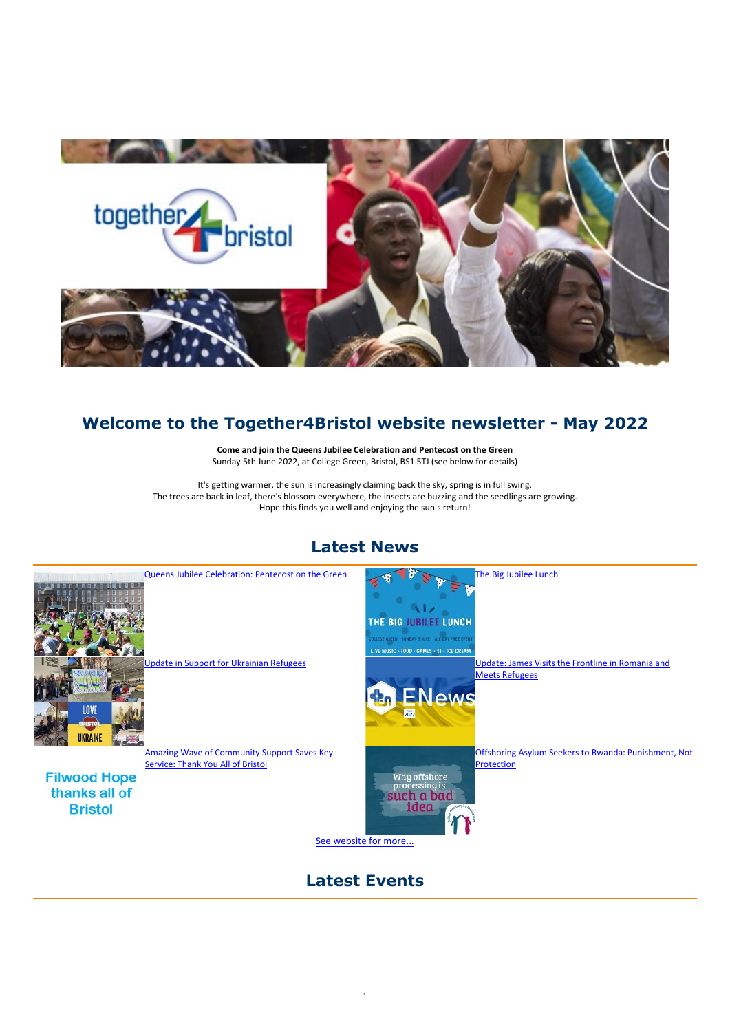1



# Welcome to the Together4Bristol website newsletter - May 2022

Come and join the Queens Jubilee Celebration and Pentecost on the Green Sunday 5th June 2022, at College Green, Bristol, BS1 5TJ (see below for details)

Update in Support for Ukrainian Refugees Update: James Visits the Frontline in Romania and Meets Refugees

It's getting warmer, the sun is increasingly claiming back the sky, spring is in full swing. The trees are back in leaf, there's blossom everywhere, the insects are buzzing and the seedlings are growing. Hope this finds you well and enjoying the sun's return!

# Latest News





THE BIG JUBILEE LUNCH

Queens Jubilee Celebration: Pentecost on the Green The Big Jubilee Lunch

COLLEGE GREEN SUNDAY 5 JUNE ALL DAY FREE EVEN LIVE MUSIC - FOOD - GAMES - DJ - ICE CREAM



Amazing Wave of Community Support Saves Key Service: Thank You All of Bristol

**Filwood Hope** 

Offshoring Asylum Seekers to Rwanda: Punishment, Not Protection

thanks all of **Bristol** 



See website for more...

## Latest Events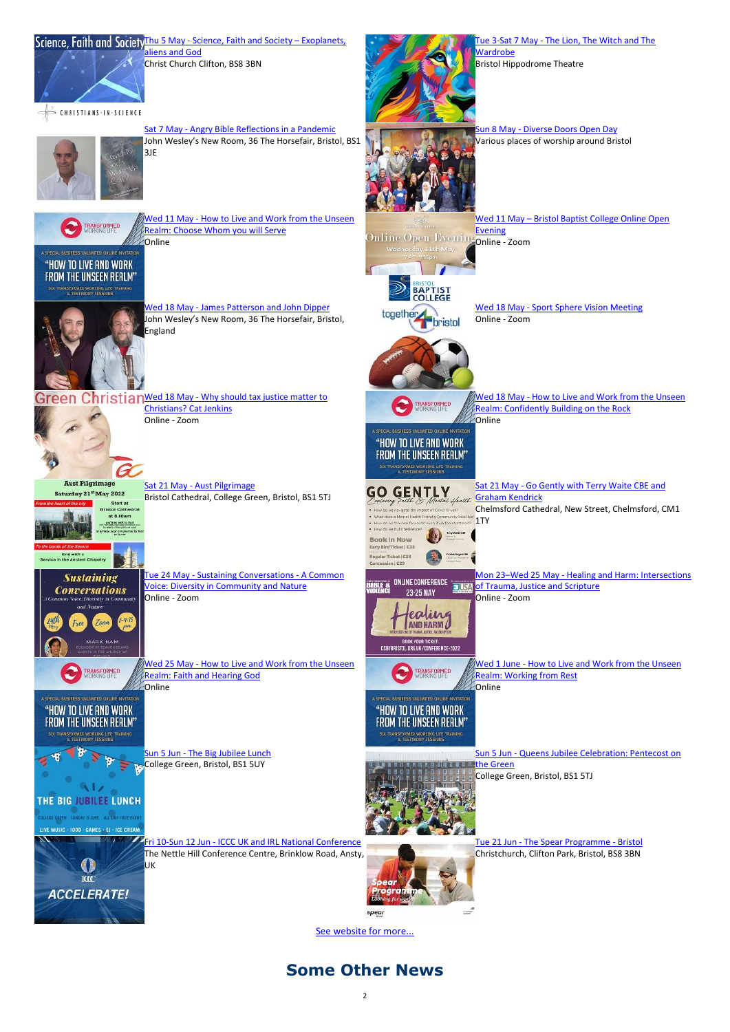### Science, Faith and Society Thu 5 May - Science, Faith and Society – Exoplanets,



liens and God Christ Church Clifton, BS8 3BN Tue 3-Sat 7 May - The Lion, The Witch and The **Wardrobe** 

CHRISTIANS-IN-SCIENCE



Bristol Hippodrome Theatre

Wed 11 May - How to Live and Work from the Unseen Realm: Choose Whom you will Serve **Conline** 



Sat 7 May - Angry Bible Reflections in a Pandemic John Wesley's New Room, 36 The Horsefair, Bristol, BS1 3JE



Evening Online Open Evening Online - Zoom Wednesday 11th May

**BAPTIST**<br>COLLEGE

together **bristol** 







**Green Christian Wed 18 May - Why should tax justice matter to** Christians? Cat Jenkins Online - Zoom

Wed 18 May - How to Live and Work from the Unseen Realm: Confidently Building on the Rock **Online** 

Wed 11 May – Bristol Baptist College Online Open

Wed 18 May - James Patterson and John Dipper John Wesley's New Room, 36 The Horsefair, Bristol, England

Wed 18 May - Sport Sphere Vision Meeting



Online - Zoom

**Book In Now** Early Bird Ticket | £28 Regular Ticket | £38 Concession | £20



Sun 5 Jun - The Big Jubilee Lunch College Green, Bristol, BS1 5UY

the Green<br>the Green Green in the Green College Green, Bristol, BS1 5TJ



ICC **ACCELERATE!**  Fri 10-Sun 12 Jun - ICCC UK and IRL National Conference The Nettle Hill Conference Centre, Brinklow Road, Ansty,



Sat 21 May - Aust Pilgrimage Bristol Cathedral, College Green, Bristol, BS1 5TJ



**Aust Pilgrimage** 

Saturday 21st May 2022



**TRANSFORMED** 

A SPECIAL BUSINESS UNLIMITED ONLINE INVITATION

"HOW TO LIVE AND WORK

FROM THE UNSEEN REALM"

SIX TRANSFORMED WORKING LIFE TRAINING<br>& TESTIMONY SESSIONS

Sat 21 May - Go Gently with Terry Waite CBE and

"HOW TO LIVE AND WORK FROM THE UNSEEN REALM" SUCTRANSFORMED WORKING LIFE TRAINING



oring Faith & Mental Spatth Graham Kendrick How do see no igate the impact of Covid 19 well? Chelmsford Cathedral, New Street, Chelmsford, CM1 What does a Memal Health Friendly C (ty look like) - When were a reemail treatm Friendly Community look Like"<br>- How do we Counce forwards even if we feel shattered!<br>- How do we build resilience?

Tue 24 May - Sustaining Conversations - A Common Voice: Diversity in Community and Nature Online - Zoom

Wed 25 May - How to Live and Work from the Unseen Realm: Faith and Hearing God **Conline** 



Mon 23–Wed 25 May - Healing and Harm: Intersections **FJUSA** of Trauma, Justice and Scripture Online - Zoom

BOOK YOUR TICKET:<br>CSBVBRISTOL.ORG.UK/CONFERENCE-2022



Wed 1 June - How to Live and Work from the Unseen Realm: Working from Rest **Conline** 



Sun 5 Jun - Queens Jubilee Celebration: Pentecost on

UK

Tue 21 Jun - The Spear Programme - Bristol Christchurch, Clifton Park, Bristol, BS8 3BN



See website for more...

## Some Other News